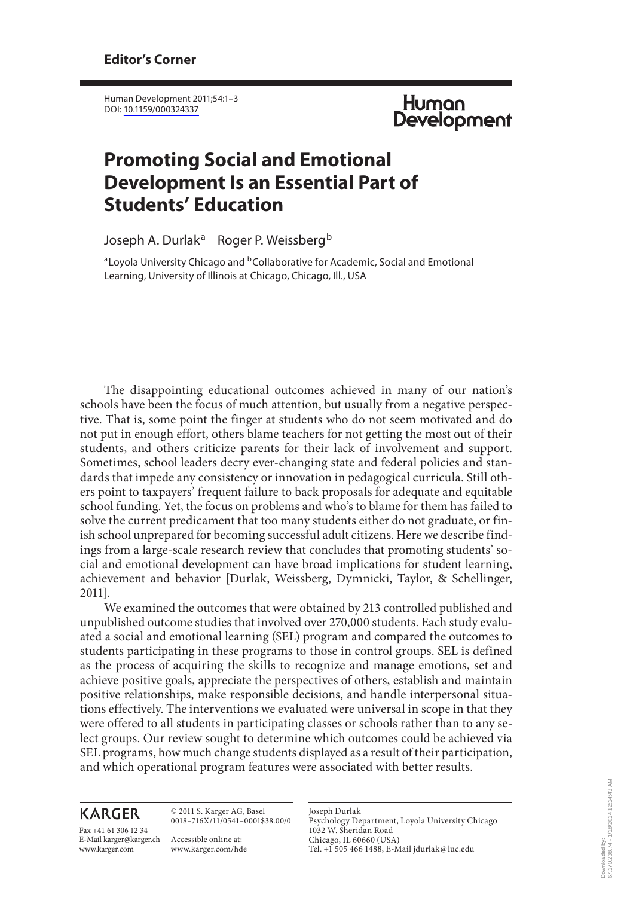Human Development 2011;54:1–3 DOI: [10.1159/000324337](http://dx.doi.org/10.1159%2F000324337)

## Human Development

## **Promoting Social and Emotional Development Is an Essential Part of Students' Education**

Joseph A. Durlak<sup>a</sup> Roger P. Weissberg<sup>b</sup>

<sup>a</sup> Loyola University Chicago and <sup>b</sup> Collaborative for Academic, Social and Emotional Learning, University of Illinois at Chicago, Chicago, Ill., USA

 The disappointing educational outcomes achieved in many of our nation's schools have been the focus of much attention, but usually from a negative perspective. That is, some point the finger at students who do not seem motivated and do not put in enough effort, others blame teachers for not getting the most out of their students, and others criticize parents for their lack of involvement and support. Sometimes, school leaders decry ever-changing state and federal policies and standards that impede any consistency or innovation in pedagogical curricula. Still others point to taxpayers' frequent failure to back proposals for adequate and equitable school funding. Yet, the focus on problems and who's to blame for them has failed to solve the current predicament that too many students either do not graduate, or finish school unprepared for becoming successful adult citizens. Here we describe findings from a large-scale research review that concludes that promoting students' social and emotional development can have broad implications for student learning, achievement and behavior [Durlak, Weissberg, Dymnicki, Taylor, & Schellinger, 2011].

 We examined the outcomes that were obtained by 213 controlled published and unpublished outcome studies that involved over 270,000 students. Each study evaluated a social and emotional learning (SEL) program and compared the outcomes to students participating in these programs to those in control groups. SEL is defined as the process of acquiring the skills to recognize and manage emotions, set and achieve positive goals, appreciate the perspectives of others, establish and maintain positive relationships, make responsible decisions, and handle interpersonal situations effectively. The interventions we evaluated were universal in scope in that they were offered to all students in participating classes or schools rather than to any select groups. Our review sought to determine which outcomes could be achieved via SEL programs, how much change students displayed as a result of their participation, and which operational program features were associated with better results.

## KARGER

 © 2011 S. Karger AG, Basel 0018–716X/11/0541–0001\$38.00/0

E-Mail karger@karger.ch Accessible online at: Fax +41 61 306 12 34 www.karger.com

www.karger.com/hde

 Joseph Durlak Psychology Department, Loyola University Chicago 1032 W. Sheridan Road Chicago, IL 60660 (USA) Tel. +1 505 466 1488, E-Mail jdurlak @ luc.edu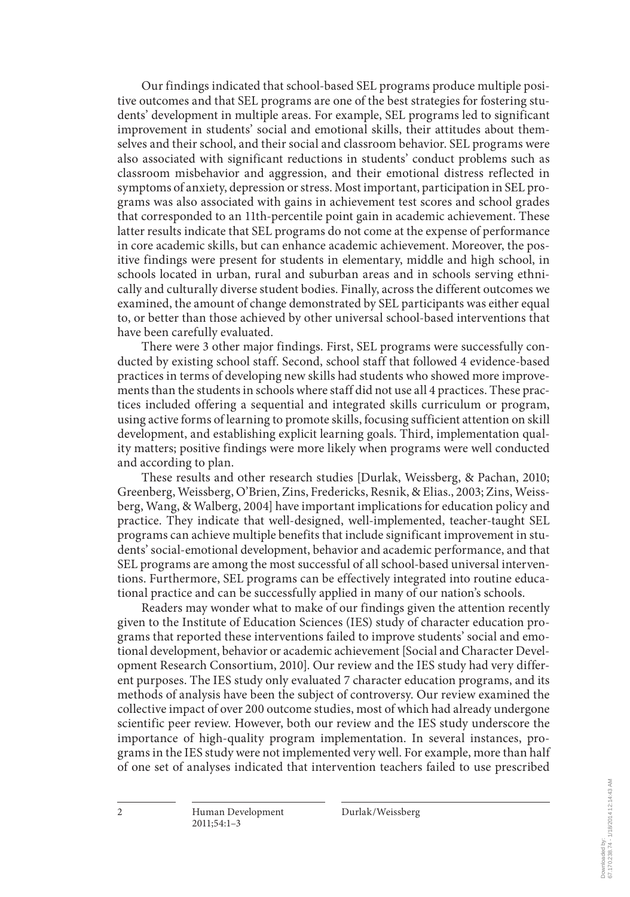Our findings indicated that school-based SEL programs produce multiple positive outcomes and that SEL programs are one of the best strategies for fostering students' development in multiple areas. For example, SEL programs led to significant improvement in students' social and emotional skills, their attitudes about themselves and their school, and their social and classroom behavior. SEL programs were also associated with significant reductions in students' conduct problems such as classroom misbehavior and aggression, and their emotional distress reflected in symptoms of anxiety, depression or stress. Most important, participation in SEL programs was also associated with gains in achievement test scores and school grades that corresponded to an 11th-percentile point gain in academic achievement. These latter results indicate that SEL programs do not come at the expense of performance in core academic skills, but can enhance academic achievement. Moreover, the positive findings were present for students in elementary, middle and high school, in schools located in urban, rural and suburban areas and in schools serving ethnically and culturally diverse student bodies. Finally, across the different outcomes we examined, the amount of change demonstrated by SEL participants was either equal to, or better than those achieved by other universal school-based interventions that have been carefully evaluated.

 There were 3 other major findings. First, SEL programs were successfully conducted by existing school staff. Second, school staff that followed 4 evidence-based practices in terms of developing new skills had students who showed more improvements than the students in schools where staff did not use all 4 practices. These practices included offering a sequential and integrated skills curriculum or program, using active forms of learning to promote skills, focusing sufficient attention on skill development, and establishing explicit learning goals. Third, implementation quality matters; positive findings were more likely when programs were well conducted and according to plan.

 These results and other research studies [Durlak, Weissberg, & Pachan, 2010; Greenberg, Weissberg, O'Brien, Zins, Fredericks, Resnik, & Elias., 2003; Zins, Weissberg, Wang, & Walberg, 2004] have important implications for education policy and practice. They indicate that well-designed, well-implemented, teacher-taught SEL programs can achieve multiple benefits that include significant improvement in students' social-emotional development, behavior and academic performance, and that SEL programs are among the most successful of all school-based universal interventions. Furthermore, SEL programs can be effectively integrated into routine educational practice and can be successfully applied in many of our nation's schools.

 Readers may wonder what to make of our findings given the attention recently given to the Institute of Education Sciences (IES) study of character education programs that reported these interventions failed to improve students' social and emotional development, behavior or academic achievement [Social and Character Development Research Consortium, 2010]. Our review and the IES study had very different purposes. The IES study only evaluated 7 character education programs, and its methods of analysis have been the subject of controversy. Our review examined the collective impact of over 200 outcome studies, most of which had already undergone scientific peer review. However, both our review and the IES study underscore the importance of high-quality program implementation. In several instances, programs in the IES study were not implemented very well. For example, more than half of one set of analyses indicated that intervention teachers failed to use prescribed

Downloaded by:

Downloaded by:<br>67.170.238.74 - 1/18/2014 12:14:43 AM 67.170.238.74 - 1/18/2014 12:14:43 AM